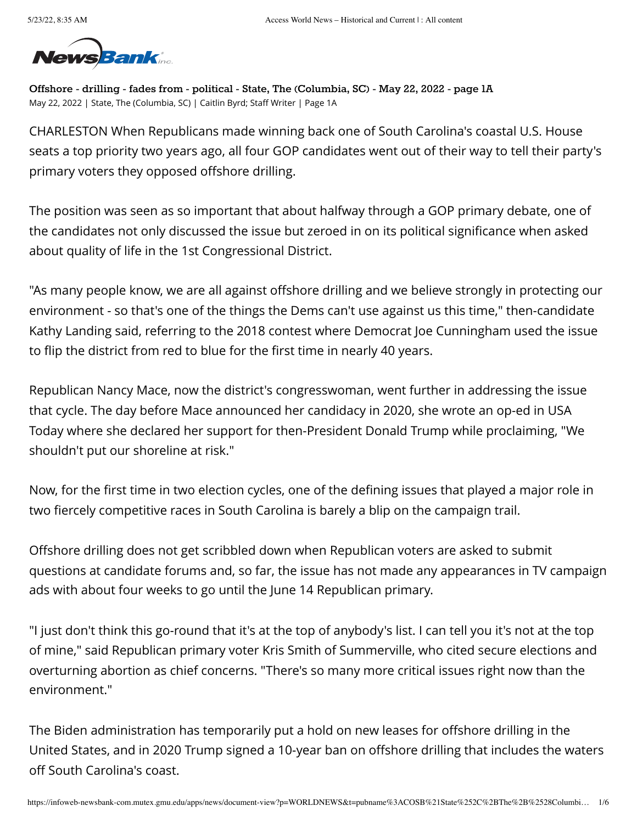

**Offshore - drilling - fades from - political - State, The (Columbia, SC) - May 22, 2022 - page 1A** May 22, 2022 | State, The (Columbia, SC) | Caitlin Byrd; Staff Writer | Page 1A

CHARLESTON When Republicans made winning back one of South Carolina's coastal U.S. House seats a top priority two years ago, all four GOP candidates went out of their way to tell their party's primary voters they opposed offshore drilling.

The position was seen as so important that about halfway through a GOP primary debate, one of the candidates not only discussed the issue but zeroed in on its political significance when asked about quality of life in the 1st Congressional District.

"As many people know, we are all against offshore drilling and we believe strongly in protecting our environment - so that's one of the things the Dems can't use against us this time," then-candidate Kathy Landing said, referring to the 2018 contest where Democrat Joe Cunningham used the issue to flip the district from red to blue for the first time in nearly 40 years.

Republican Nancy Mace, now the district's congresswoman, went further in addressing the issue that cycle. The day before Mace announced her candidacy in 2020, she wrote an op-ed in USA Today where she declared her support for then-President Donald Trump while proclaiming, "We shouldn't put our shoreline at risk."

Now, for the first time in two election cycles, one of the defining issues that played a major role in two fiercely competitive races in South Carolina is barely a blip on the campaign trail.

Offshore drilling does not get scribbled down when Republican voters are asked to submit questions at candidate forums and, so far, the issue has not made any appearances in TV campaign ads with about four weeks to go until the June 14 Republican primary.

"I just don't think this go-round that it's at the top of anybody's list. I can tell you it's not at the top of mine," said Republican primary voter Kris Smith of Summerville, who cited secure elections and overturning abortion as chief concerns. "There's so many more critical issues right now than the environment."

The Biden administration has temporarily put a hold on new leases for offshore drilling in the United States, and in 2020 Trump signed a 10-year ban on offshore drilling that includes the waters off South Carolina's coast.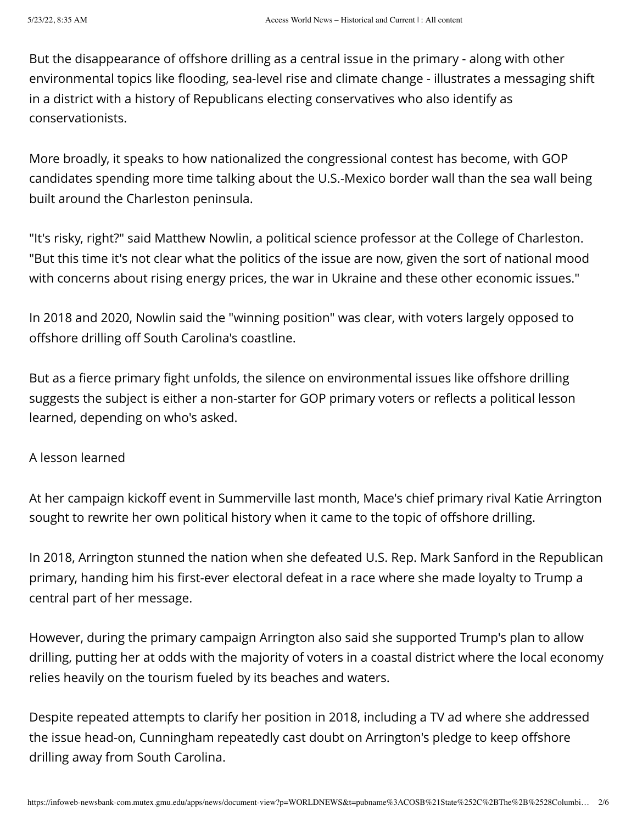But the disappearance of offshore drilling as a central issue in the primary - along with other environmental topics like flooding, sea-level rise and climate change - illustrates a messaging shift in a district with a history of Republicans electing conservatives who also identify as conservationists.

More broadly, it speaks to how nationalized the congressional contest has become, with GOP candidates spending more time talking about the U.S.-Mexico border wall than the sea wall being built around the Charleston peninsula.

"It's risky, right?" said Matthew Nowlin, a political science professor at the College of Charleston. "But this time it's not clear what the politics of the issue are now, given the sort of national mood with concerns about rising energy prices, the war in Ukraine and these other economic issues."

In 2018 and 2020, Nowlin said the "winning position" was clear, with voters largely opposed to offshore drilling off South Carolina's coastline.

But as a fierce primary fight unfolds, the silence on environmental issues like offshore drilling suggests the subject is either a non-starter for GOP primary voters or reflects a political lesson learned, depending on who's asked.

## A lesson learned

At her campaign kickoff event in Summerville last month, Mace's chief primary rival Katie Arrington sought to rewrite her own political history when it came to the topic of offshore drilling.

In 2018, Arrington stunned the nation when she defeated U.S. Rep. Mark Sanford in the Republican primary, handing him his first-ever electoral defeat in a race where she made loyalty to Trump a central part of her message.

However, during the primary campaign Arrington also said she supported Trump's plan to allow drilling, putting her at odds with the majority of voters in a coastal district where the local economy relies heavily on the tourism fueled by its beaches and waters.

Despite repeated attempts to clarify her position in 2018, including a TV ad where she addressed the issue head-on, Cunningham repeatedly cast doubt on Arrington's pledge to keep offshore drilling away from South Carolina.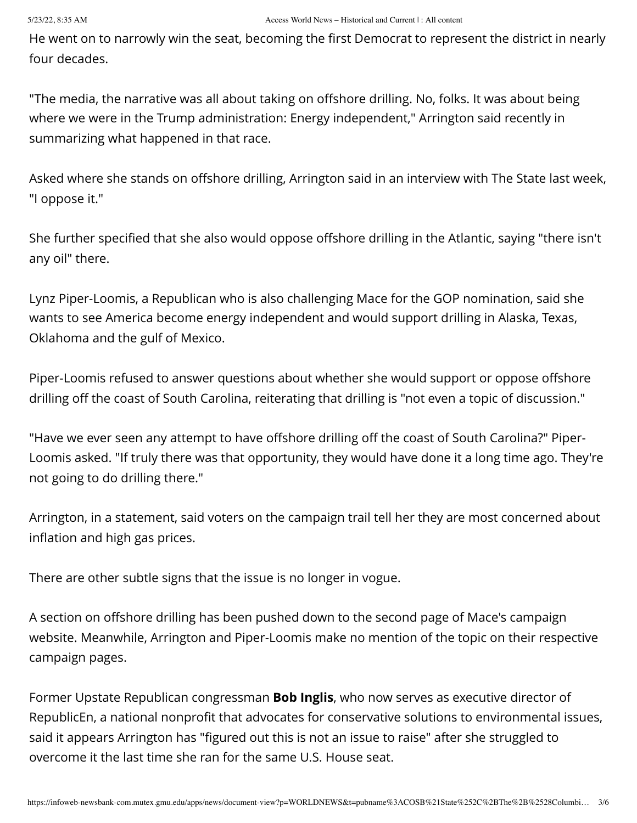He went on to narrowly win the seat, becoming the first Democrat to represent the district in nearly four decades.

"The media, the narrative was all about taking on offshore drilling. No, folks. It was about being where we were in the Trump administration: Energy independent," Arrington said recently in summarizing what happened in that race.

Asked where she stands on offshore drilling, Arrington said in an interview with The State last week, "I oppose it."

She further specified that she also would oppose offshore drilling in the Atlantic, saying "there isn't any oil" there.

Lynz Piper-Loomis, a Republican who is also challenging Mace for the GOP nomination, said she wants to see America become energy independent and would support drilling in Alaska, Texas, Oklahoma and the gulf of Mexico.

Piper-Loomis refused to answer questions about whether she would support or oppose offshore drilling off the coast of South Carolina, reiterating that drilling is "not even a topic of discussion."

"Have we ever seen any attempt to have offshore drilling off the coast of South Carolina?" Piper-Loomis asked. "If truly there was that opportunity, they would have done it a long time ago. They're not going to do drilling there."

Arrington, in a statement, said voters on the campaign trail tell her they are most concerned about inflation and high gas prices.

There are other subtle signs that the issue is no longer in vogue.

A section on offshore drilling has been pushed down to the second page of Mace's campaign website. Meanwhile, Arrington and Piper-Loomis make no mention of the topic on their respective campaign pages.

Former Upstate Republican congressman **Bob Inglis**, who now serves as executive director of RepublicEn, a national nonprofit that advocates for conservative solutions to environmental issues, said it appears Arrington has "figured out this is not an issue to raise" after she struggled to overcome it the last time she ran for the same U.S. House seat.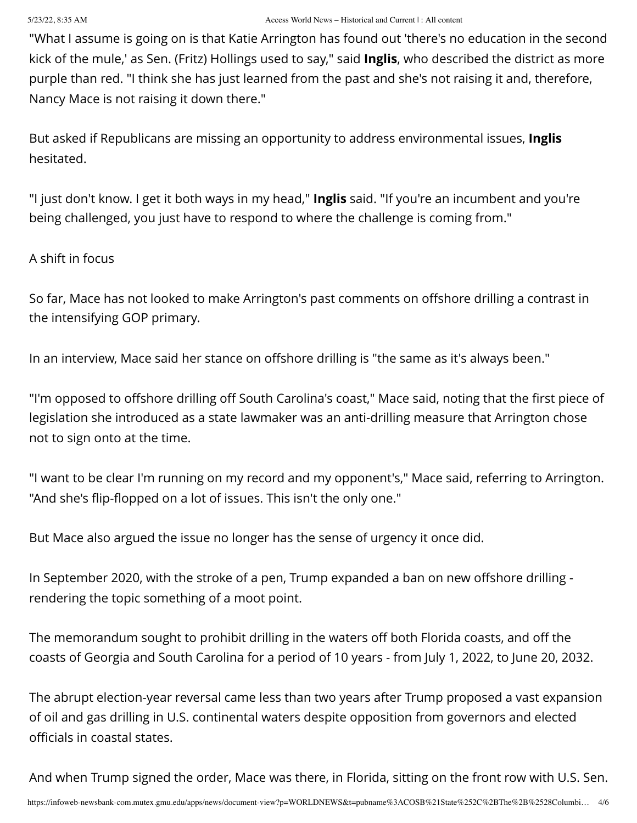"What I assume is going on is that Katie Arrington has found out 'there's no education in the second kick of the mule,' as Sen. (Fritz) Hollings used to say," said **Inglis**, who described the district as more purple than red. "I think she has just learned from the past and she's not raising it and, therefore, Nancy Mace is not raising it down there."

But asked if Republicans are missing an opportunity to address environmental issues, **Inglis** hesitated.

"I just don't know. I get it both ways in my head," **Inglis** said. "If you're an incumbent and you're being challenged, you just have to respond to where the challenge is coming from."

## A shift in focus

So far, Mace has not looked to make Arrington's past comments on offshore drilling a contrast in the intensifying GOP primary.

In an interview, Mace said her stance on offshore drilling is "the same as it's always been."

"I'm opposed to offshore drilling off South Carolina's coast," Mace said, noting that the first piece of legislation she introduced as a state lawmaker was an anti-drilling measure that Arrington chose not to sign onto at the time.

"I want to be clear I'm running on my record and my opponent's," Mace said, referring to Arrington. "And she's flip-flopped on a lot of issues. This isn't the only one."

But Mace also argued the issue no longer has the sense of urgency it once did.

In September 2020, with the stroke of a pen, Trump expanded a ban on new offshore drilling rendering the topic something of a moot point.

The memorandum sought to prohibit drilling in the waters off both Florida coasts, and off the coasts of Georgia and South Carolina for a period of 10 years - from July 1, 2022, to June 20, 2032.

The abrupt election-year reversal came less than two years after Trump proposed a vast expansion of oil and gas drilling in U.S. continental waters despite opposition from governors and elected officials in coastal states.

And when Trump signed the order, Mace was there, in Florida, sitting on the front row with U.S. Sen.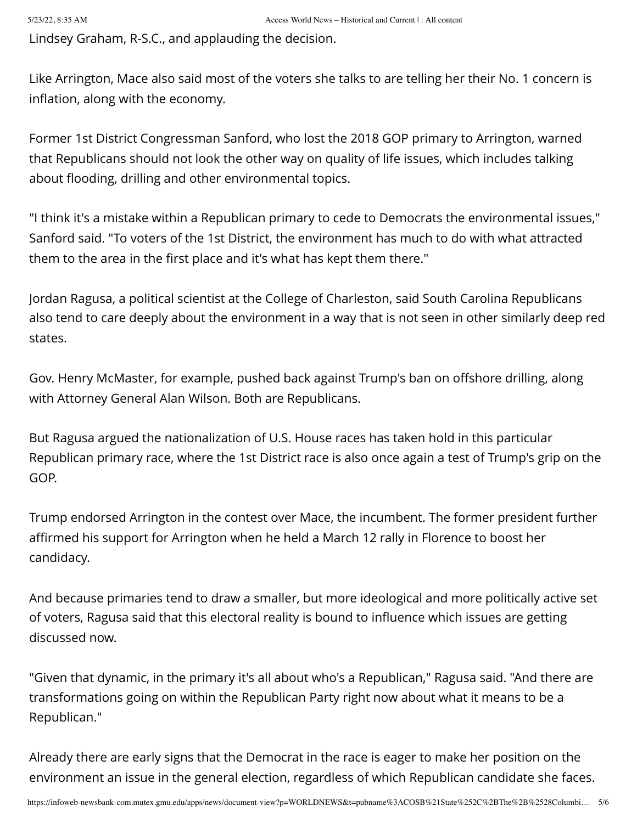Lindsey Graham, R-S.C., and applauding the decision.

Like Arrington, Mace also said most of the voters she talks to are telling her their No. 1 concern is inflation, along with the economy.

Former 1st District Congressman Sanford, who lost the 2018 GOP primary to Arrington, warned that Republicans should not look the other way on quality of life issues, which includes talking about flooding, drilling and other environmental topics.

"I think it's a mistake within a Republican primary to cede to Democrats the environmental issues," Sanford said. "To voters of the 1st District, the environment has much to do with what attracted them to the area in the first place and it's what has kept them there."

Jordan Ragusa, a political scientist at the College of Charleston, said South Carolina Republicans also tend to care deeply about the environment in a way that is not seen in other similarly deep red states.

Gov. Henry McMaster, for example, pushed back against Trump's ban on offshore drilling, along with Attorney General Alan Wilson. Both are Republicans.

But Ragusa argued the nationalization of U.S. House races has taken hold in this particular Republican primary race, where the 1st District race is also once again a test of Trump's grip on the GOP.

Trump endorsed Arrington in the contest over Mace, the incumbent. The former president further affirmed his support for Arrington when he held a March 12 rally in Florence to boost her candidacy.

And because primaries tend to draw a smaller, but more ideological and more politically active set of voters, Ragusa said that this electoral reality is bound to influence which issues are getting discussed now.

"Given that dynamic, in the primary it's all about who's a Republican," Ragusa said. "And there are transformations going on within the Republican Party right now about what it means to be a Republican."

Already there are early signs that the Democrat in the race is eager to make her position on the environment an issue in the general election, regardless of which Republican candidate she faces.